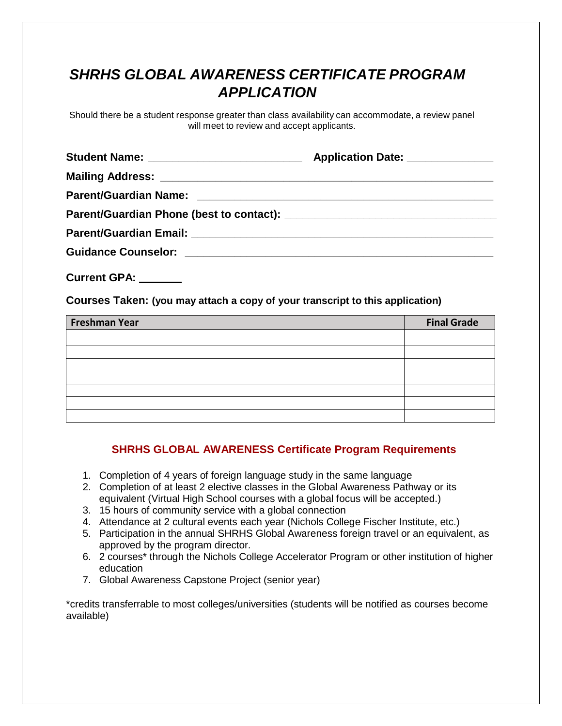## *SHRHS GLOBAL AWARENESS CERTIFICATE PROGRAM APPLICATION*

Should there be a student response greater than class availability can accommodate, a review panel will meet to review and accept applicants.

| Application Date: ______________ |
|----------------------------------|
|                                  |
|                                  |
|                                  |
|                                  |
|                                  |

**Current GPA:**

**Courses Taken: (you may attach a copy of your transcript to this application)**

| Freshman Year | <b>Final Grade</b> |
|---------------|--------------------|
|               |                    |
|               |                    |
|               |                    |
|               |                    |
|               |                    |
|               |                    |
|               |                    |

## **SHRHS GLOBAL AWARENESS Certificate Program Requirements**

- 1. Completion of 4 years of foreign language study in the same language
- 2. Completion of at least 2 elective classes in the Global Awareness Pathway or its equivalent (Virtual High School courses with a global focus will be accepted.)
- 3. 15 hours of community service with a global connection
- 4. Attendance at 2 cultural events each year (Nichols College Fischer Institute, etc.)
- 5. Participation in the annual SHRHS Global Awareness foreign travel or an equivalent, as approved by the program director.
- 6. 2 courses\* through the Nichols College Accelerator Program or other institution of higher education
- 7. Global Awareness Capstone Project (senior year)

\*credits transferrable to most colleges/universities (students will be notified as courses become available)